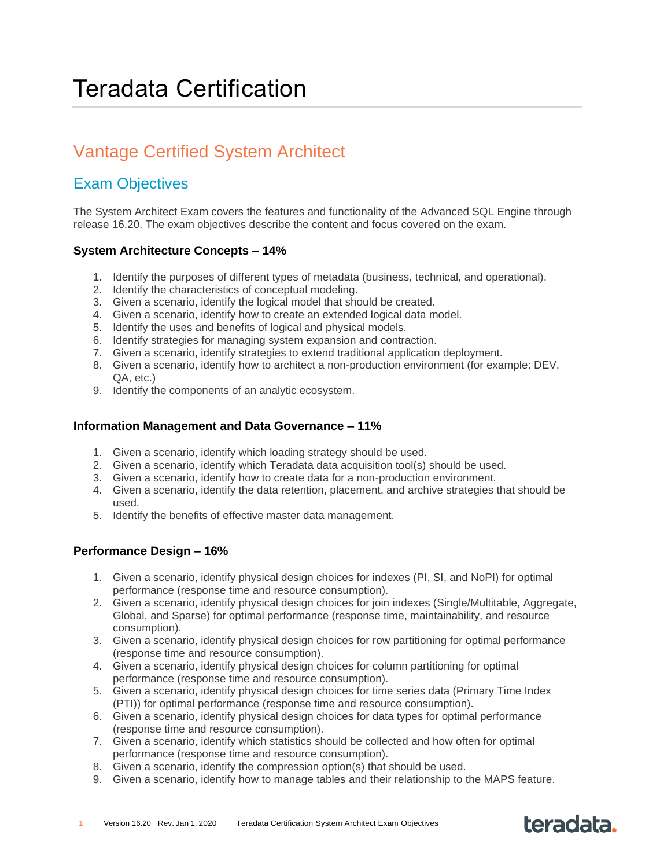### Vantage Certified System Architect

### Exam Objectives

The System Architect Exam covers the features and functionality of the Advanced SQL Engine through release 16.20. The exam objectives describe the content and focus covered on the exam.

#### **System Architecture Concepts – 14%**

- 1. Identify the purposes of different types of metadata (business, technical, and operational).
- 2. Identify the characteristics of conceptual modeling.
- 3. Given a scenario, identify the logical model that should be created.
- 4. Given a scenario, identify how to create an extended logical data model.
- 5. Identify the uses and benefits of logical and physical models.
- 6. Identify strategies for managing system expansion and contraction.
- 7. Given a scenario, identify strategies to extend traditional application deployment.
- 8. Given a scenario, identify how to architect a non-production environment (for example: DEV, QA, etc.)
- 9. Identify the components of an analytic ecosystem.

#### **Information Management and Data Governance – 11%**

- 1. Given a scenario, identify which loading strategy should be used.
- 2. Given a scenario, identify which Teradata data acquisition tool(s) should be used.
- 3. Given a scenario, identify how to create data for a non-production environment.
- 4. Given a scenario, identify the data retention, placement, and archive strategies that should be used.
- 5. Identify the benefits of effective master data management.

#### **Performance Design – 16%**

- 1. Given a scenario, identify physical design choices for indexes (PI, SI, and NoPI) for optimal performance (response time and resource consumption).
- 2. Given a scenario, identify physical design choices for join indexes (Single/Multitable, Aggregate, Global, and Sparse) for optimal performance (response time, maintainability, and resource consumption).
- 3. Given a scenario, identify physical design choices for row partitioning for optimal performance (response time and resource consumption).
- 4. Given a scenario, identify physical design choices for column partitioning for optimal performance (response time and resource consumption).
- 5. Given a scenario, identify physical design choices for time series data (Primary Time Index (PTI)) for optimal performance (response time and resource consumption).
- 6. Given a scenario, identify physical design choices for data types for optimal performance (response time and resource consumption).
- 7. Given a scenario, identify which statistics should be collected and how often for optimal performance (response time and resource consumption).
- 8. Given a scenario, identify the compression option(s) that should be used.
- 9. Given a scenario, identify how to manage tables and their relationship to the MAPS feature.

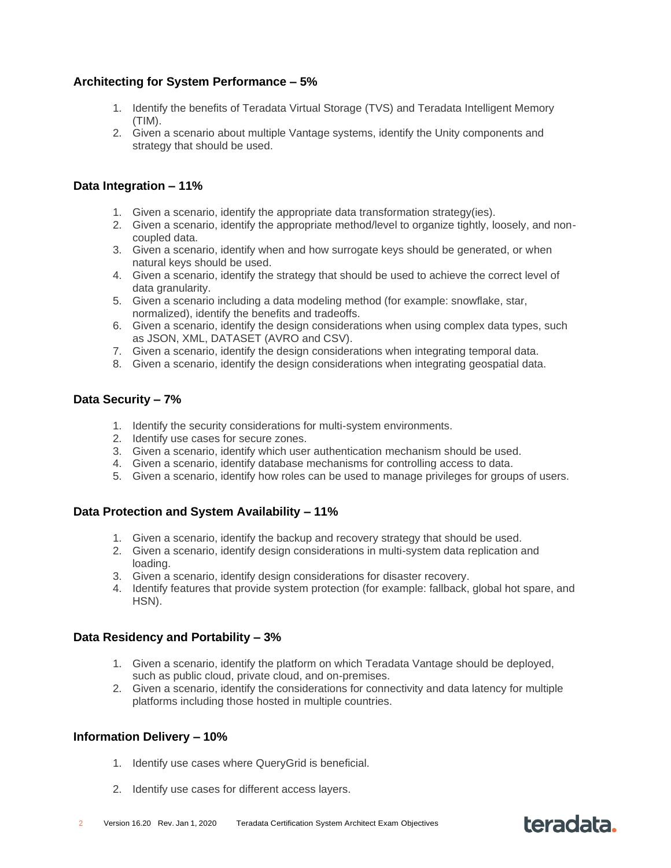#### **Architecting for System Performance – 5%**

- 1. Identify the benefits of Teradata Virtual Storage (TVS) and Teradata Intelligent Memory (TIM).
- 2. Given a scenario about multiple Vantage systems, identify the Unity components and strategy that should be used.

#### **Data Integration – 11%**

- 1. Given a scenario, identify the appropriate data transformation strategy(ies).
- 2. Given a scenario, identify the appropriate method/level to organize tightly, loosely, and noncoupled data.
- 3. Given a scenario, identify when and how surrogate keys should be generated, or when natural keys should be used.
- 4. Given a scenario, identify the strategy that should be used to achieve the correct level of data granularity.
- 5. Given a scenario including a data modeling method (for example: snowflake, star, normalized), identify the benefits and tradeoffs.
- 6. Given a scenario, identify the design considerations when using complex data types, such as JSON, XML, DATASET (AVRO and CSV).
- 7. Given a scenario, identify the design considerations when integrating temporal data.
- 8. Given a scenario, identify the design considerations when integrating geospatial data.

#### **Data Security – 7%**

- 1. Identify the security considerations for multi-system environments.
- 2. Identify use cases for secure zones.
- 3. Given a scenario, identify which user authentication mechanism should be used.
- 4. Given a scenario, identify database mechanisms for controlling access to data.
- 5. Given a scenario, identify how roles can be used to manage privileges for groups of users.

#### **Data Protection and System Availability – 11%**

- 1. Given a scenario, identify the backup and recovery strategy that should be used.
- 2. Given a scenario, identify design considerations in multi-system data replication and loading.
- 3. Given a scenario, identify design considerations for disaster recovery.
- 4. Identify features that provide system protection (for example: fallback, global hot spare, and HSN).

#### **Data Residency and Portability – 3%**

- 1. Given a scenario, identify the platform on which Teradata Vantage should be deployed, such as public cloud, private cloud, and on-premises.
- 2. Given a scenario, identify the considerations for connectivity and data latency for multiple platforms including those hosted in multiple countries.

#### **Information Delivery – 10%**

- 1. Identify use cases where QueryGrid is beneficial.
- 2. Identify use cases for different access layers.

## teradata.